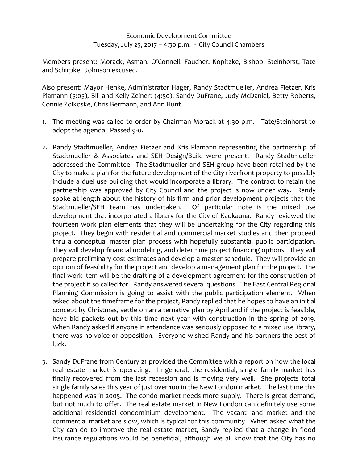## Economic Development Committee Tuesday, July 25, 2017 – 4:30 p.m. - City Council Chambers

Members present: Morack, Asman, O'Connell, Faucher, Kopitzke, Bishop, Steinhorst, Tate and Schirpke. Johnson excused.

Also present: Mayor Henke, Administrator Hager, Randy Stadtmueller, Andrea Fietzer, Kris Plamann (5:05), Bill and Kelly Zeinert (4:50), Sandy DuFrane, Judy McDaniel, Betty Roberts, Connie Zolkoske, Chris Bermann, and Ann Hunt.

- 1. The meeting was called to order by Chairman Morack at 4:30 p.m. Tate/Steinhorst to adopt the agenda. Passed 9-0.
- 2. Randy Stadtmueller, Andrea Fietzer and Kris Plamann representing the partnership of Stadtmueller & Associates and SEH Design/Build were present. Randy Stadtmueller addressed the Committee. The Stadtmueller and SEH group have been retained by the City to make a plan for the future development of the City riverfront property to possibly include a duel use building that would incorporate a library. The contract to retain the partnership was approved by City Council and the project is now under way. Randy spoke at length about the history of his firm and prior development projects that the Stadtmueller/SEH team has undertaken. Of particular note is the mixed use development that incorporated a library for the City of Kaukauna. Randy reviewed the fourteen work plan elements that they will be undertaking for the City regarding this project. They begin with residential and commercial market studies and then proceed thru a conceptual master plan process with hopefully substantial public participation. They will develop financial modeling, and determine project financing options. They will prepare preliminary cost estimates and develop a master schedule. They will provide an opinion of feasibility for the project and develop a management plan for the project. The final work item will be the drafting of a development agreement for the construction of the project if so called for. Randy answered several questions. The East Central Regional Planning Commission is going to assist with the public participation element. When asked about the timeframe for the project, Randy replied that he hopes to have an initial concept by Christmas, settle on an alternative plan by April and if the project is feasible, have bid packets out by this time next year with construction in the spring of 2019. When Randy asked if anyone in attendance was seriously opposed to a mixed use library, there was no voice of opposition. Everyone wished Randy and his partners the best of luck.
- 3. Sandy DuFrane from Century 21 provided the Committee with a report on how the local real estate market is operating. In general, the residential, single family market has finally recovered from the last recession and is moving very well. She projects total single family sales this year of just over 100 in the New London market. The last time this happened was in 2005. The condo market needs more supply. There is great demand, but not much to offer. The real estate market in New London can definitely use some additional residential condominium development. The vacant land market and the commercial market are slow, which is typical for this community. When asked what the City can do to improve the real estate market, Sandy replied that a change in flood insurance regulations would be beneficial, although we all know that the City has no